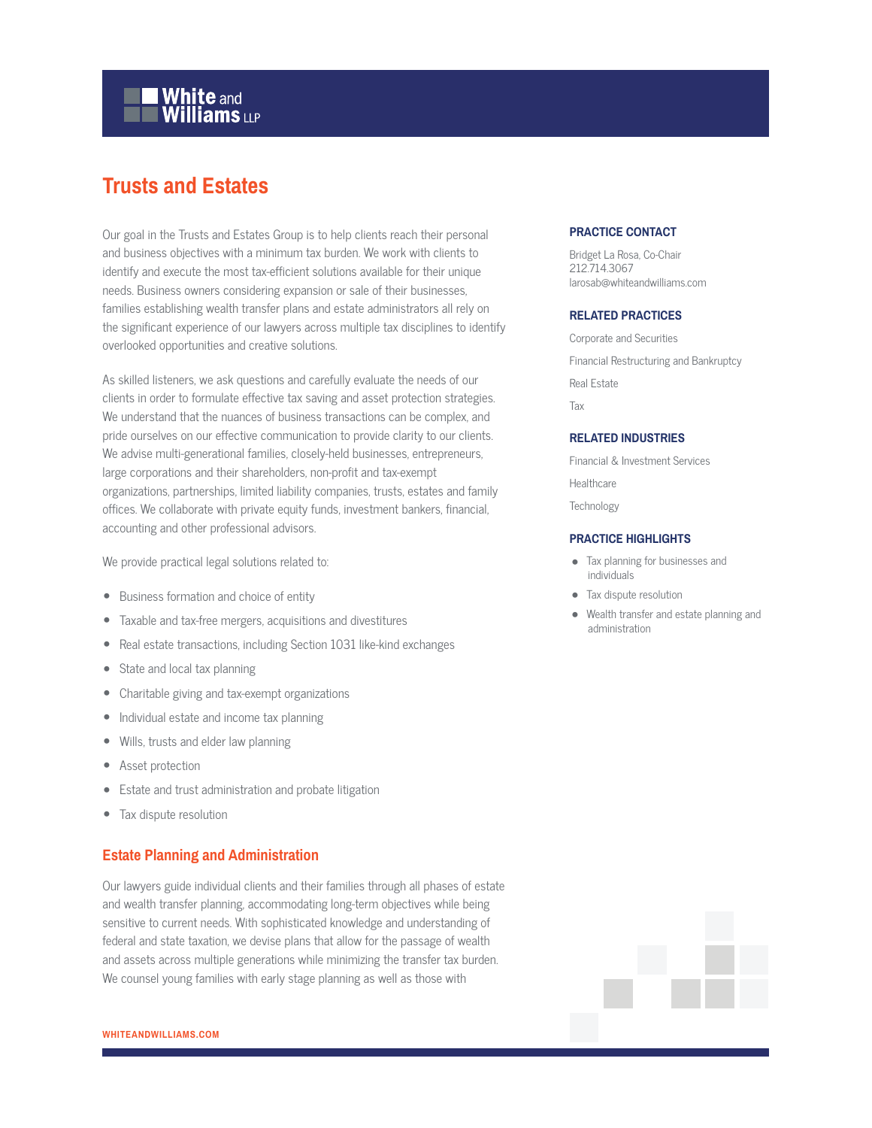# **White and Williams LLP**

# **Trusts and Estates**

Our goal in the Trusts and Estates Group is to help clients reach their personal and business objectives with a minimum tax burden. We work with clients to identify and execute the most tax-efficient solutions available for their unique needs. Business owners considering expansion or sale of their businesses, families establishing wealth transfer plans and estate administrators all rely on the significant experience of our lawyers across multiple tax disciplines to identify overlooked opportunities and creative solutions.

As skilled listeners, we ask questions and carefully evaluate the needs of our clients in order to formulate effective tax saving and asset protection strategies. We understand that the nuances of business transactions can be complex, and pride ourselves on our effective communication to provide clarity to our clients. We advise multi-generational families, closely-held businesses, entrepreneurs, large corporations and their shareholders, non-profit and tax-exempt organizations, partnerships, limited liability companies, trusts, estates and family offices. We collaborate with private equity funds, investment bankers, financial, accounting and other professional advisors.

We provide practical legal solutions related to:

- Business formation and choice of entity
- Taxable and tax-free mergers, acquisitions and divestitures
- Real estate transactions, including Section 1031 like-kind exchanges
- State and local tax planning
- Charitable giving and tax-exempt organizations
- Individual estate and income tax planning
- Wills, trusts and elder law planning
- Asset protection
- Estate and trust administration and probate litigation
- Tax dispute resolution

#### **Estate Planning and Administration**

Our lawyers guide individual clients and their families through all phases of estate and wealth transfer planning, accommodating long-term objectives while being sensitive to current needs. With sophisticated knowledge and understanding of federal and state taxation, we devise plans that allow for the passage of wealth and assets across multiple generations while minimizing the transfer tax burden. We counsel young families with early stage planning as well as those with

#### **PRACTICE CONTACT**

Bridget La Rosa, Co-Chair 212.714.3067 larosab@whiteandwilliams.com

#### **RELATED PRACTICES**

Corporate and Securities Financial Restructuring and Bankruptcy Real Estate Tax

#### **RELATED INDUSTRIES**

Financial & Investment Services

**Healthcare** 

**Technology** 

#### **PRACTICE HIGHLIGHTS**

- Tax planning for businesses and individuals
- Tax dispute resolution
- Wealth transfer and estate planning and administration

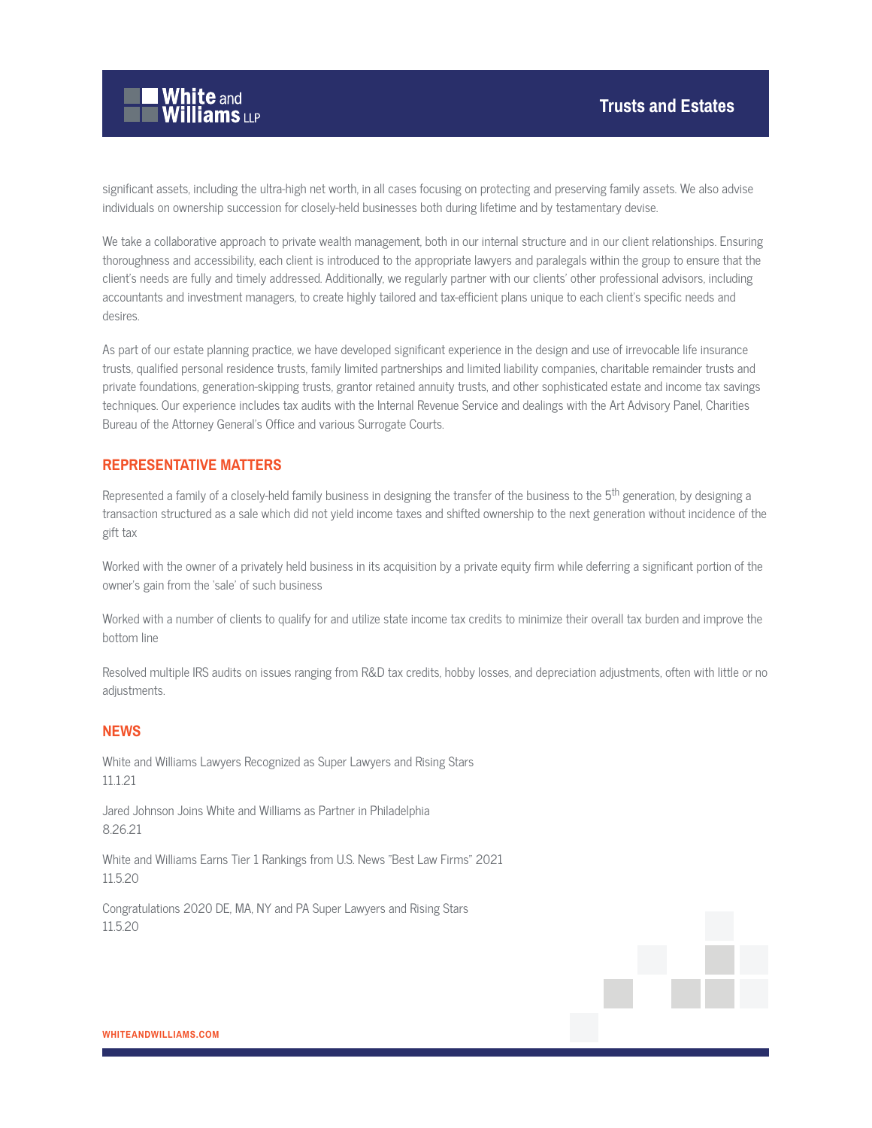

significant assets, including the ultra-high net worth, in all cases focusing on protecting and preserving family assets. We also advise individuals on ownership succession for closely-held businesses both during lifetime and by testamentary devise.

We take a collaborative approach to private wealth management, both in our internal structure and in our client relationships. Ensuring thoroughness and accessibility, each client is introduced to the appropriate lawyers and paralegals within the group to ensure that the client's needs are fully and timely addressed. Additionally, we regularly partner with our clients' other professional advisors, including accountants and investment managers, to create highly tailored and tax-efficient plans unique to each client's specific needs and desires.

As part of our estate planning practice, we have developed significant experience in the design and use of irrevocable life insurance trusts, qualified personal residence trusts, family limited partnerships and limited liability companies, charitable remainder trusts and private foundations, generation-skipping trusts, grantor retained annuity trusts, and other sophisticated estate and income tax savings techniques. Our experience includes tax audits with the Internal Revenue Service and dealings with the Art Advisory Panel, Charities Bureau of the Attorney General's Office and various Surrogate Courts.

#### **REPRESENTATIVE MATTERS**

Represented a family of a closely-held family business in designing the transfer of the business to the 5<sup>th</sup> generation, by designing a transaction structured as a sale which did not yield income taxes and shifted ownership to the next generation without incidence of the gift tax

Worked with the owner of a privately held business in its acquisition by a private equity firm while deferring a significant portion of the owner's gain from the 'sale' of such business

Worked with a number of clients to qualify for and utilize state income tax credits to minimize their overall tax burden and improve the bottom line

Resolved multiple IRS audits on issues ranging from R&D tax credits, hobby losses, and depreciation adjustments, often with little or no adjustments.

#### **NEWS**

White and Williams Lawyers Recognized as Super Lawyers and Rising Stars 11.1.21

Jared Johnson Joins White and Williams as Partner in Philadelphia 8.26.21

White and Williams Earns Tier 1 Rankings from U.S. News "Best Law Firms" 2021 11.5.20

Congratulations 2020 DE, MA, NY and PA Super Lawyers and Rising Stars 11.5.20

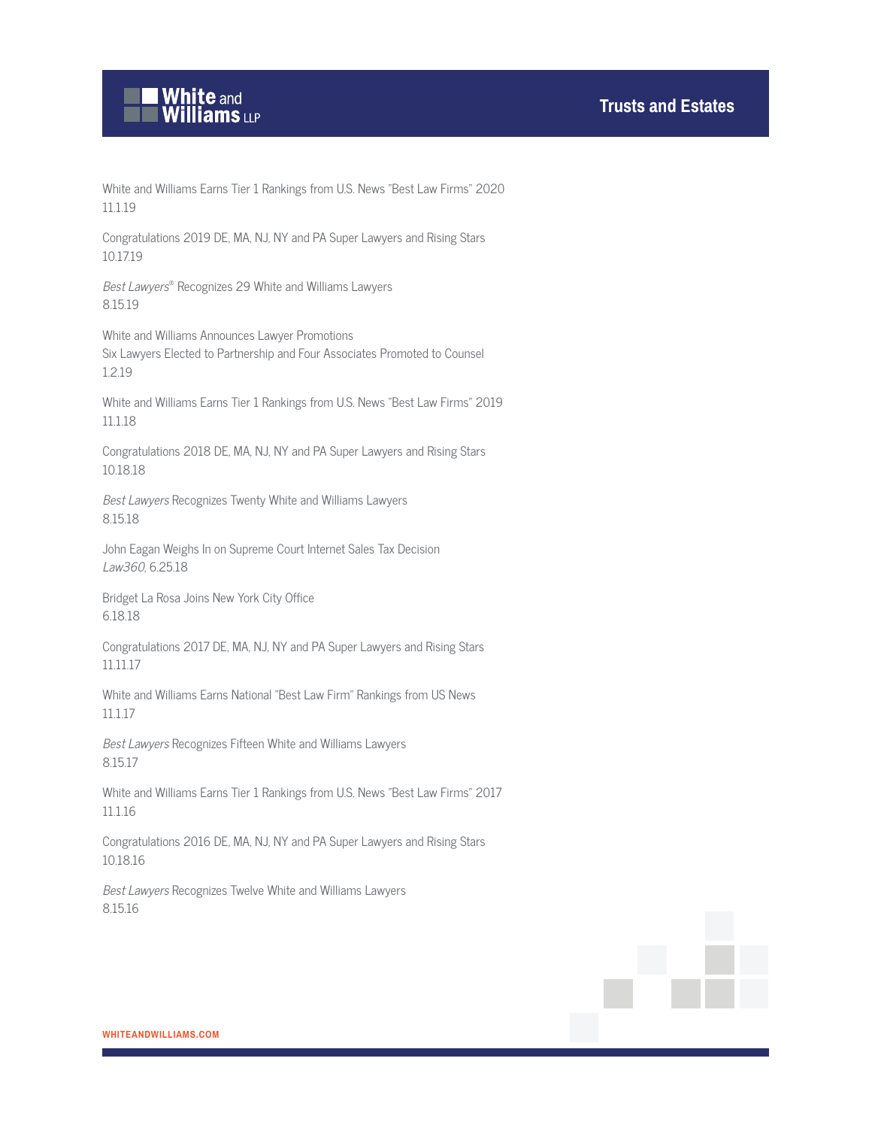

White and Williams Earns Tier 1 Rankings from U.S. News "Best Law Firms" 2020 11.1.19

Congratulations 2019 DE, MA, NJ, NY and PA Super Lawyers and Rising Stars 10.17.19

Best Lawyers® Recognizes 29 White and Williams Lawyers 8.15.19

White and Williams Announces Lawyer Promotions Six Lawyers Elected to Partnership and Four Associates Promoted to Counsel 1.2.19

White and Williams Earns Tier 1 Rankings from U.S. News "Best Law Firms" 2019 11.1.18

Congratulations 2018 DE, MA, NJ, NY and PA Super Lawyers and Rising Stars 10.18.18

Best Lawyers Recognizes Twenty White and Williams Lawyers 8.15.18

John Eagan Weighs In on Supreme Court Internet Sales Tax Decision Law360, 6.25.18

Bridget La Rosa Joins New York City Office 6.18.18

Congratulations 2017 DE, MA, NJ, NY and PA Super Lawyers and Rising Stars 11.11.17

White and Williams Earns National "Best Law Firm" Rankings from US News 11.1.17

Best Lawyers Recognizes Fifteen White and Williams Lawyers 8.15.17

White and Williams Earns Tier 1 Rankings from U.S. News "Best Law Firms" 2017 11.1.16

Congratulations 2016 DE, MA, NJ, NY and PA Super Lawyers and Rising Stars 10.18.16

Best Lawyers Recognizes Twelve White and Williams Lawyers 8.15.16

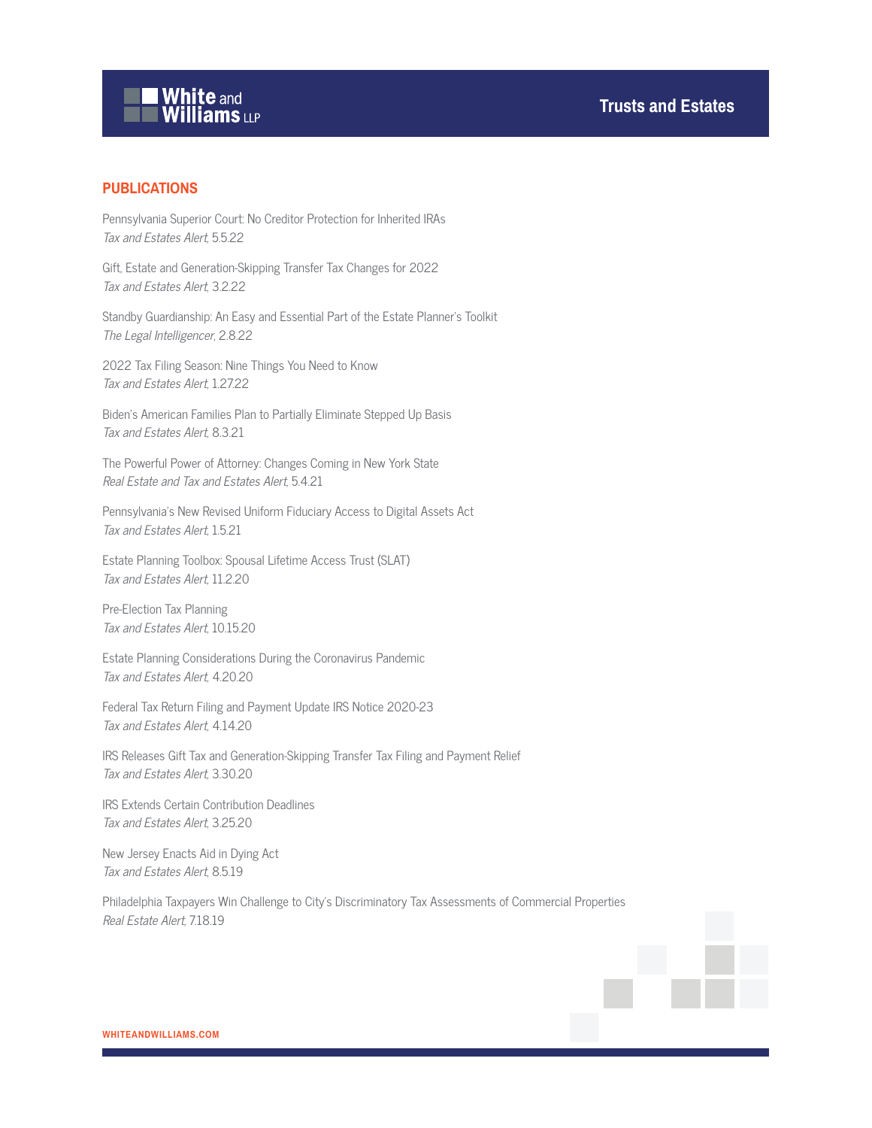# White and<br>Williams LLP

### **PUBLICATIONS**

Pennsylvania Superior Court: No Creditor Protection for Inherited IRAs Tax and Estates Alert, 5.5.22

Gift, Estate and Generation-Skipping Transfer Tax Changes for 2022 Tax and Estates Alert, 3.2.22

Standby Guardianship: An Easy and Essential Part of the Estate Planner's Toolkit The Legal Intelligencer, 2.8.22

2022 Tax Filing Season: Nine Things You Need to Know Tax and Estates Alert, 1.27.22

Biden's American Families Plan to Partially Eliminate Stepped Up Basis Tax and Estates Alert, 8.3.21

The Powerful Power of Attorney: Changes Coming in New York State Real Estate and Tax and Estates Alert, 5.4.21

Pennsylvania's New Revised Uniform Fiduciary Access to Digital Assets Act Tax and Estates Alert, 1.5.21

Estate Planning Toolbox: Spousal Lifetime Access Trust (SLAT) Tax and Estates Alert, 11.2.20

Pre-Election Tax Planning Tax and Estates Alert, 10.15.20

Estate Planning Considerations During the Coronavirus Pandemic Tax and Estates Alert, 4.20.20

Federal Tax Return Filing and Payment Update IRS Notice 2020-23 Tax and Estates Alert, 4.14.20

IRS Releases Gift Tax and Generation-Skipping Transfer Tax Filing and Payment Relief Tax and Estates Alert, 3.30.20

IRS Extends Certain Contribution Deadlines Tax and Estates Alert, 3.25.20

New Jersey Enacts Aid in Dying Act Tax and Estates Alert, 8.5.19

Philadelphia Taxpayers Win Challenge to City's Discriminatory Tax Assessments of Commercial Properties Real Estate Alert, 7.18.19

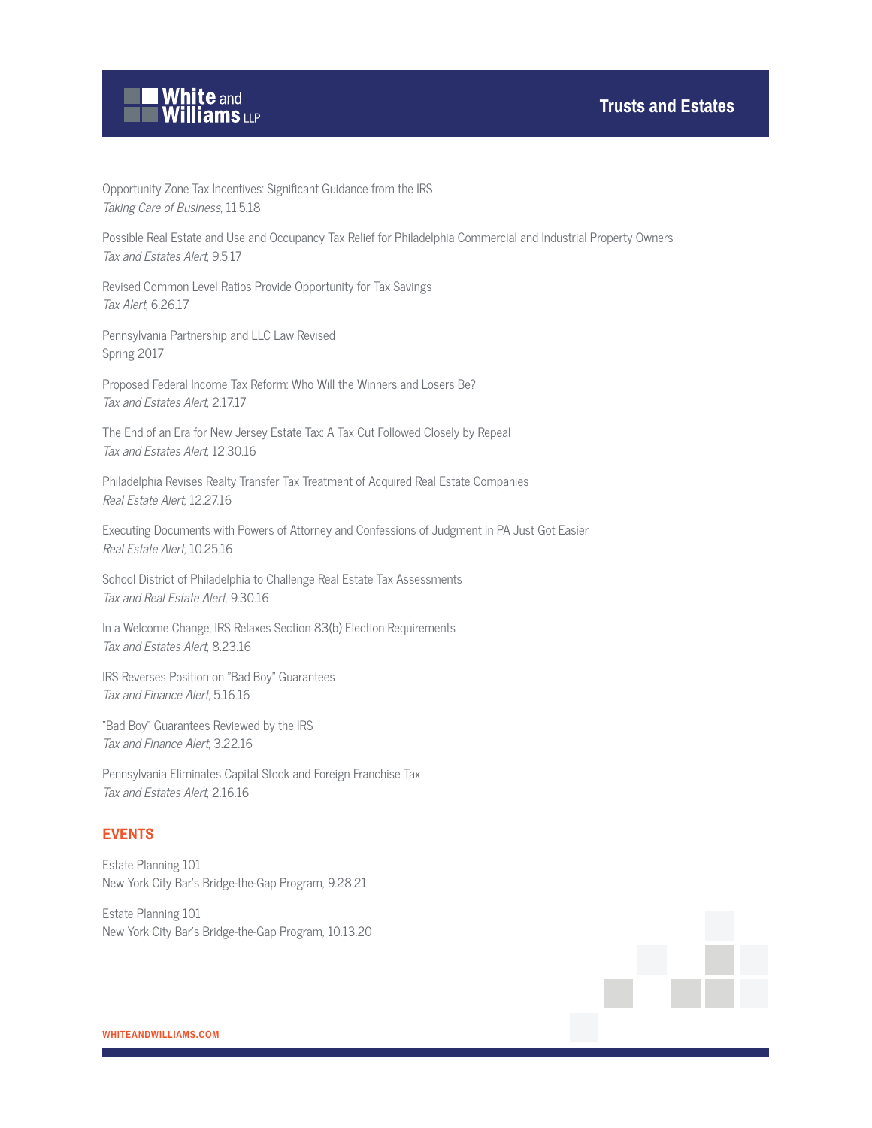

Opportunity Zone Tax Incentives: Significant Guidance from the IRS Taking Care of Business, 11.5.18

Possible Real Estate and Use and Occupancy Tax Relief for Philadelphia Commercial and Industrial Property Owners Tax and Estates Alert, 9.5.17

Revised Common Level Ratios Provide Opportunity for Tax Savings Tax Alert, 6.26.17

Pennsylvania Partnership and LLC Law Revised Spring 2017

Proposed Federal Income Tax Reform: Who Will the Winners and Losers Be? Tax and Estates Alert, 2.17.17

The End of an Era for New Jersey Estate Tax: A Tax Cut Followed Closely by Repeal Tax and Estates Alert, 12.30.16

Philadelphia Revises Realty Transfer Tax Treatment of Acquired Real Estate Companies Real Estate Alert, 12.27.16

Executing Documents with Powers of Attorney and Confessions of Judgment in PA Just Got Easier Real Estate Alert, 10.25.16

School District of Philadelphia to Challenge Real Estate Tax Assessments Tax and Real Estate Alert, 9.30.16

In a Welcome Change, IRS Relaxes Section 83(b) Election Requirements Tax and Estates Alert, 8.23.16

IRS Reverses Position on "Bad Boy" Guarantees Tax and Finance Alert, 5.16.16

"Bad Boy" Guarantees Reviewed by the IRS Tax and Finance Alert, 3.22.16

Pennsylvania Eliminates Capital Stock and Foreign Franchise Tax Tax and Estates Alert, 2.16.16

### **EVENTS**

Estate Planning 101 New York City Bar's Bridge-the-Gap Program, 9.28.21

Estate Planning 101 New York City Bar's Bridge-the-Gap Program, 10.13.20